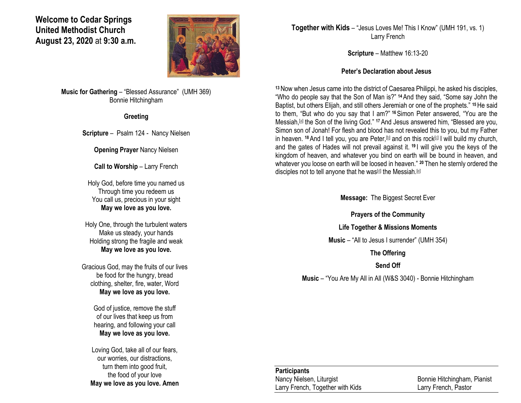#### **Welcome to Cedar Springs United Methodist Church August 23, 2020** at **9:30 a.m.**



**Music for Gathering** – "Blessed Assurance" (UMH 369) Bonnie Hitchingham

#### **Greeting**

**Scripture** – Psalm 124 - Nancy Nielsen

**Opening Prayer** Nancy Nielsen

**Call to Worship – Larry French** 

Holy God, before time you named us Through time you redeem us You call us, precious in your sight **May we love as you love.**

Holy One, through the turbulent waters Make us steady, your hands Holding strong the fragile and weak **May we love as you love.**

Gracious God, may the fruits of our lives be food for the hungry, bread clothing, shelter, fire, water, Word **May we love as you love.**

> God of justice, remove the stuff of our lives that keep us from hearing, and following your call **May we love as you love.**

Loving God, take all of our fears, our worries, our distractions, turn them into good fruit, the food of your love **May we love as you love. Amen** **Together with Kids** – "Jesus Loves Me! This I Know" (UMH 191, vs. 1) Larry French

**Scripture** – Matthew 16:13-20

#### **Peter's Declaration about Jesus**

**<sup>13</sup>**Now when Jesus came into the district of Caesarea Philippi, he asked his disciples, "Who do people say that the Son of Man is?" **<sup>14</sup>**And they said, "Some say John the Baptist, but others Elijah, and still others Jeremiah or one of the prophets." **<sup>15</sup>**He said to them, "But who do you say that I am?" **<sup>16</sup>**Simon Peter answered, "You are the Messiah,<sup>[\[a\]](https://www.biblegateway.com/passage/?search=Matthew+16%3A13-20&version=NRSV#fen-NRSV-23689a)</sup> the Son of the living God." <sup>17</sup> And Jesus answered him, "Blessed are you, Simon son of Jonah! For flesh and blood has not revealed this to you, but my Father in heaven. <sup>18</sup> And I tell you, you are Peter,<sup>[\[b\]](https://www.biblegateway.com/passage/?search=Matthew+16%3A13-20&version=NRSV#fen-NRSV-23691b)</sup> and on this rock<sup>[\[c\]](https://www.biblegateway.com/passage/?search=Matthew+16%3A13-20&version=NRSV#fen-NRSV-23691c)</sup> I will build my church, and the gates of Hades will not prevail against it. **<sup>19</sup>** I will give you the keys of the kingdom of heaven, and whatever you bind on earth will be bound in heaven, and whatever you loose on earth will be loosed in heaven." **<sup>20</sup>** Then he sternly ordered the disciples not to tell anyone that he was<sup>[\[d\]](https://www.biblegateway.com/passage/?search=Matthew+16%3A13-20&version=NRSV#fen-NRSV-23693d)</sup> the Messiah.<sup>[\[e\]](https://www.biblegateway.com/passage/?search=Matthew+16%3A13-20&version=NRSV#fen-NRSV-23693e)</sup>

**Message:** The Biggest Secret Ever

**Prayers of the Community**

**Life Together & Missions Moments**

**Music** – "All to Jesus I surrender" (UMH 354)

**The Offering**

**Send Off**

**Music** – "You Are My All in All (W&S 3040) - Bonnie Hitchingham

# **Participants**

Larry French, Together with Kids Larry French, Pastor

Nancy Nielsen, Liturgist Bonnie Hitchingham, Pianist